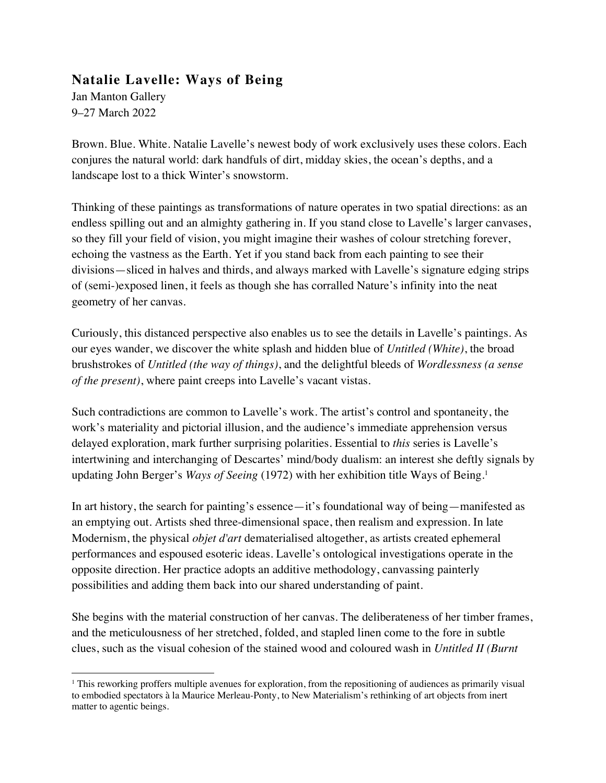## **Natalie Lavelle: Ways of Being**

Jan Manton Gallery 9–27 March 2022

Brown. Blue. White. Natalie Lavelle's newest body of work exclusively uses these colors. Each conjures the natural world: dark handfuls of dirt, midday skies, the ocean's depths, and a landscape lost to a thick Winter's snowstorm.

Thinking of these paintings as transformations of nature operates in two spatial directions: as an endless spilling out and an almighty gathering in. If you stand close to Lavelle's larger canvases, so they fill your field of vision, you might imagine their washes of colour stretching forever, echoing the vastness as the Earth. Yet if you stand back from each painting to see their divisions—sliced in halves and thirds, and always marked with Lavelle's signature edging strips of (semi-)exposed linen, it feels as though she has corralled Nature's infinity into the neat geometry of her canvas.

Curiously, this distanced perspective also enables us to see the details in Lavelle's paintings. As our eyes wander, we discover the white splash and hidden blue of *Untitled (White)*, the broad brushstrokes of *Untitled (the way of things)*, and the delightful bleeds of *Wordlessness (a sense of the present)*, where paint creeps into Lavelle's vacant vistas.

Such contradictions are common to Lavelle's work. The artist's control and spontaneity, the work's materiality and pictorial illusion, and the audience's immediate apprehension versus delayed exploration, mark further surprising polarities. Essential to *this* series is Lavelle's intertwining and interchanging of Descartes' mind/body dualism: an interest she deftly signals by updating John Berger's *Ways of Seeing* (1972) with her exhibition title Ways of Being.1

In art history, the search for painting's essence—it's foundational way of being—manifested as an emptying out. Artists shed three-dimensional space, then realism and expression. In late Modernism, the physical *objet d'art* dematerialised altogether, as artists created ephemeral performances and espoused esoteric ideas. Lavelle's ontological investigations operate in the opposite direction. Her practice adopts an additive methodology, canvassing painterly possibilities and adding them back into our shared understanding of paint.

She begins with the material construction of her canvas. The deliberateness of her timber frames, and the meticulousness of her stretched, folded, and stapled linen come to the fore in subtle clues, such as the visual cohesion of the stained wood and coloured wash in *Untitled II (Burnt* 

<sup>1</sup> This reworking proffers multiple avenues for exploration, from the repositioning of audiences as primarily visual to embodied spectators à la Maurice Merleau-Ponty, to New Materialism's rethinking of art objects from inert matter to agentic beings.